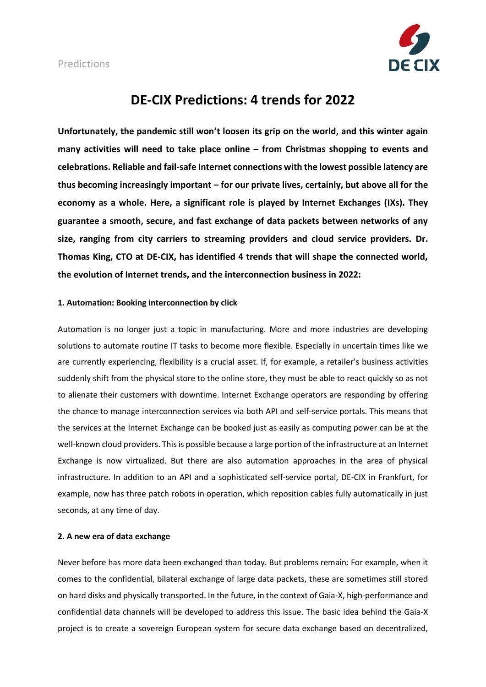

# **DE-CIX Predictions: 4 trends for 2022**

**Unfortunately, the pandemic still won't loosen its grip on the world, and this winter again many activities will need to take place online – from Christmas shopping to events and celebrations. Reliable and fail-safe Internet connections with the lowest possible latency are thus becoming increasingly important – for our private lives, certainly, but above all for the economy as a whole. Here, a significant role is played by Internet Exchanges (IXs). They guarantee a smooth, secure, and fast exchange of data packets between networks of any size, ranging from city carriers to streaming providers and cloud service providers. Dr. Thomas King, CTO at DE-CIX, has identified 4 trends that will shape the connected world, the evolution of Internet trends, and the interconnection business in 2022:**

## **1. Automation: Booking interconnection by click**

Automation is no longer just a topic in manufacturing. More and more industries are developing solutions to automate routine IT tasks to become more flexible. Especially in uncertain times like we are currently experiencing, flexibility is a crucial asset. If, for example, a retailer's business activities suddenly shift from the physical store to the online store, they must be able to react quickly so as not to alienate their customers with downtime. Internet Exchange operators are responding by offering the chance to manage interconnection services via both API and self-service portals. This means that the services at the Internet Exchange can be booked just as easily as computing power can be at the well-known cloud providers. This is possible because a large portion of the infrastructure at an Internet Exchange is now virtualized. But there are also automation approaches in the area of physical infrastructure. In addition to an API and a sophisticated self-service portal, DE-CIX in Frankfurt, for example, now has three patch robots in operation, which reposition cables fully automatically in just seconds, at any time of day.

#### **2. A new era of data exchange**

Never before has more data been exchanged than today. But problems remain: For example, when it comes to the confidential, bilateral exchange of large data packets, these are sometimes still stored on hard disks and physically transported. In the future, in the context of Gaia-X, high-performance and confidential data channels will be developed to address this issue. The basic idea behind the Gaia-X project is to create a sovereign European system for secure data exchange based on decentralized,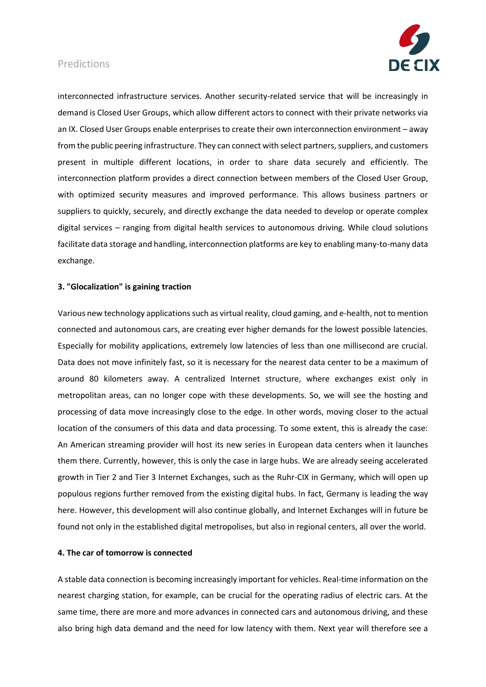## Predictions



interconnected infrastructure services. Another security-related service that will be increasingly in demand is Closed User Groups, which allow different actors to connect with their private networks via an IX. Closed User Groups enable enterprises to create their own interconnection environment – away from the public peering infrastructure. They can connect with select partners, suppliers, and customers present in multiple different locations, in order to share data securely and efficiently. The interconnection platform provides a direct connection between members of the Closed User Group, with optimized security measures and improved performance. This allows business partners or suppliers to quickly, securely, and directly exchange the data needed to develop or operate complex digital services – ranging from digital health services to autonomous driving. While cloud solutions facilitate data storage and handling, interconnection platforms are key to enabling many-to-many data exchange.

#### **3. "Glocalization" is gaining traction**

Various new technology applications such as virtual reality, cloud gaming, and e-health, not to mention connected and autonomous cars, are creating ever higher demands for the lowest possible latencies. Especially for mobility applications, extremely low latencies of less than one millisecond are crucial. Data does not move infinitely fast, so it is necessary for the nearest data center to be a maximum of around 80 kilometers away. A centralized Internet structure, where exchanges exist only in metropolitan areas, can no longer cope with these developments. So, we will see the hosting and processing of data move increasingly close to the edge. In other words, moving closer to the actual location of the consumers of this data and data processing. To some extent, this is already the case: An American streaming provider will host its new series in European data centers when it launches them there. Currently, however, this is only the case in large hubs. We are already seeing accelerated growth in Tier 2 and Tier 3 Internet Exchanges, such as the Ruhr-CIX in Germany, which will open up populous regions further removed from the existing digital hubs. In fact, Germany is leading the way here. However, this development will also continue globally, and Internet Exchanges will in future be found not only in the established digital metropolises, but also in regional centers, all over the world.

#### **4. The car of tomorrow is connected**

A stable data connection is becoming increasingly important for vehicles. Real-time information on the nearest charging station, for example, can be crucial for the operating radius of electric cars. At the same time, there are more and more advances in connected cars and autonomous driving, and these also bring high data demand and the need for low latency with them. Next year will therefore see a